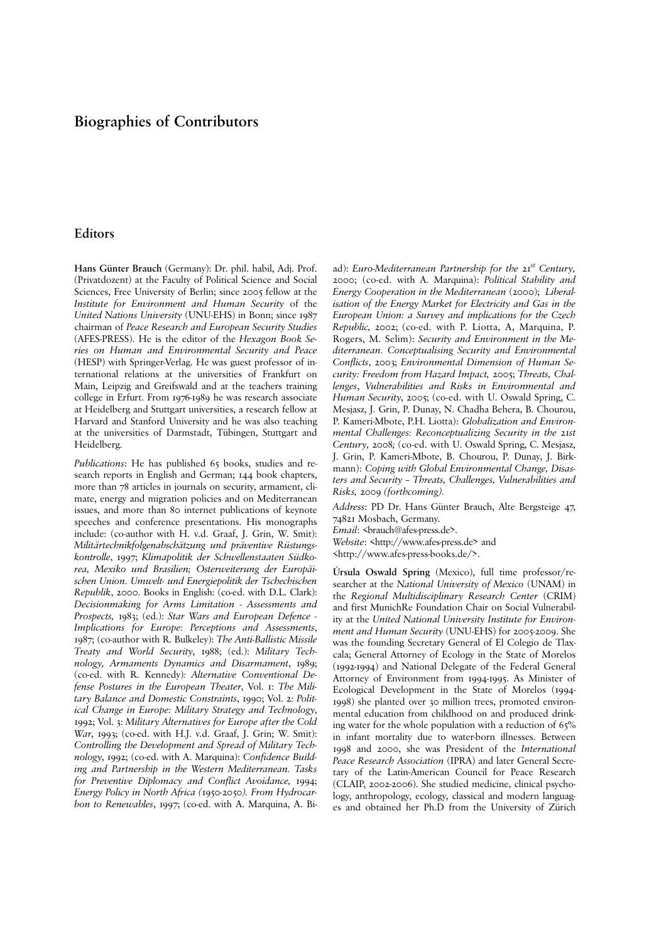## **Biographies of Contributors**

## **Editors**

**Hans Günter Brauch** (Germany): Dr. phil. habil, Adj. Prof. (Privatdozent) at the Faculty of Political Science and Social Sciences, Free University of Berlin; since 2005 fellow at the *Institute for Environment and Human Security* of the *United Nations University* (UNU-EHS) in Bonn; since 1987 chairman of *Peace Research and European Security Studies* (AFES-PRESS). He is the editor of the *Hexagon Book Series on Human and Environmental Security and Peace* (HESP) with Springer-Verlag. He was guest professor of international relations at the universities of Frankfurt on Main, Leipzig and Greifswald and at the teachers training college in Erfurt. From 1976-1989 he was research associate at Heidelberg and Stuttgart universities, a research fellow at Harvard and Stanford University and he was also teaching at the universities of Darmstadt, Tübingen, Stuttgart and Heidelberg.

*Publications*: He has published 65 books, studies and research reports in English and German; 144 book chapters, more than 78 articles in journals on security, armament, climate, energy and migration policies and on Mediterranean issues, and more than 80 internet publications of keynote speeches and conference presentations. His monographs include: (co-author with H. v.d. Graaf, J. Grin, W. Smit): *Militärtechnikfolgenabschätzung und präventive Rüstungskontrolle*, 1997; *Klimapolitik der Schwellenstaaten Südkorea, Mexiko und Brasilien; Osterweiterung der Europäischen Union. Umwelt- und Energiepolitik der Tschechischen Republik*, 2000. Books in English: (co-ed. with D.L. Clark): *Decisionmaking for Arms Limitation - Assessments and Prospects,* 1983; (ed.): *Star Wars and European Defence - Implications for Europe: Perceptions and Assessments*, 1987; (co-author with R. Bulkeley): *The Anti-Ballistic Missile Treaty and World Security*, 1988; (ed.): *Military Technology, Armaments Dynamics and Disarmament*, 1989; (co-ed. with R. Kennedy)*: Alternative Conventional Defense Postures in the European Theater*, Vol. 1: *The Military Balance and Domestic Constraints*, 1990; Vol. 2: *Political Change in Europe: Military Strategy and Technology*, 1992; Vol. 3: *Military Alternatives for Europe after the Cold War*, 1993; (co-ed. with H.J. v.d. Graaf, J. Grin; W. Smit): *Controlling the Development and Spread of Military Technology*, 1992; (co-ed. with A. Marquina): *Confidence Building and Partnership in the Western Mediterranean. Tasks for Preventive Diplomacy and Conflict Avoidance,* 1994; *Energy Policy in North Africa (*1950*-*2050*). From Hydrocarbon to Renewables*, 1997; (co-ed. with A. Marquina, A. Bi-

ad): *Euro-Mediterranean Partnership for the* 21*st Century,* 2000; (co-ed. with A. Marquina): *Political Stability and Energy Cooperation in the Mediterranean* (2000); *Liberalisation of the Energy Market for Electricity and Gas in the European Union: a Survey and implications for the Czech Republic,* 2002; (co-ed. with P. Liotta, A, Marquina, P. Rogers, M. Selim): *Security and Environment in the Mediterranean. Conceptualising Security and Environmental Conflicts*, 2003; *Environmental Dimension of Human Security: Freedom from Hazard Impact,* 2005; *Threats, Challenges*, *Vulnerabilities and Risks in Environmental and Human Security*, 2005; (co-ed. with U. Oswald Spring, C. Mesjasz, J. Grin, P. Dunay, N. Chadha Behera, B. Chourou, P. Kameri-Mbote, P.H. Liotta): *Globalization and Environmental Challenges: Reconceptualizing Security in the* 21*st Century,* 2008*;* (co-ed. with U. Oswald Spring, C. Mesjasz, J. Grin, P. Kameri-Mbote, B. Chourou, P. Dunay, J. Birkmann): *Coping with Global Environmental Change, Disasters and Security – Threats, Challenges, Vulnerabilities and Risks,* 2009 *(forthcoming).*

*Address*: PD Dr. Hans Günter Brauch, Alte Bergsteige 47, 74821 Mosbach, Germany.

*Email*: <br />
strauch@afes-press.de>.

*Website*: <http://www.afes-press.de> and <http://www.afes-press-books.de/>.

**Úrsula Oswald Spring** (Mexico), full time professor/researcher at the *National University of Mexico* (UNAM) in the *Regional Multidisciplinary Research Center* (CRIM) and first MunichRe Foundation Chair on Social Vulnerability at the *United National University Institute for Environment and Human Security* (UNU-EHS) for 2005-2009. She was the founding Secretary General of El Colegio de Tlaxcala; General Attorney of Ecology in the State of Morelos (1992-1994) and National Delegate of the Federal General Attorney of Environment from 1994-1995. As Minister of Ecological Development in the State of Morelos (1994- 1998) she planted over 30 million trees, promoted environmental education from childhood on and produced drinking water for the whole population with a reduction of 65% in infant mortality due to water-born illnesses. Between 1998 and 2000, she was President of the *International Peace Research Association* (IPRA) and later General Secretary of the Latin-American Council for Peace Research (CLAIP, 2002-2006). She studied medicine, clinical psychology, anthropology, ecology, classical and modern languages and obtained her Ph.D from the University of Zürich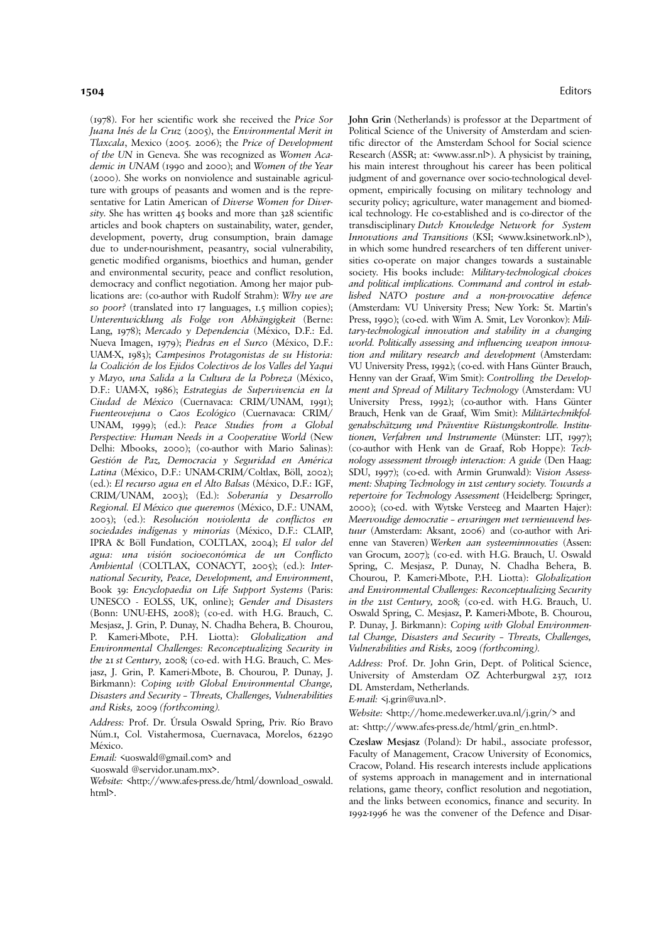(1978). For her scientific work she received the *Price Sor Juana Inés de la Cruz* (2005), the *Environmental Merit in Tlaxcala*, Mexico (2005. 2006); the *Price of Development of the UN* in Geneva. She was recognized as *Women Academic in UNAM* (1990 and 2000); and *Women of the Year* (2000). She works on nonviolence and sustainable agriculture with groups of peasants and women and is the representative for Latin American of *Diverse Women for Diversity*. She has written 45 books and more than 328 scientific articles and book chapters on sustainability, water, gender, development, poverty, drug consumption, brain damage due to under-nourishment, peasantry, social vulnerability, genetic modified organisms, bioethics and human, gender and environmental security, peace and conflict resolution, democracy and conflict negotiation. Among her major publications are: (co-author with Rudolf Strahm): *Why we are so poor?* (translated into 17 languages, 1.5 million copies); *Unterentwicklung als Folge von Abhängigkeit* (Berne: Lang, 1978); *Mercado y Dependencia* (México, D.F.: Ed. Nueva Imagen, 1979); *Piedras en el Surco* (México, D.F.: UAM-X, 1983); *Campesinos Protagonistas de su Historia: la Coalición de los Ejidos Colectivos de los Valles del Yaqui y Mayo, una Salida a la Cultura de la Pobreza* (México, D.F.: UAM-X, 1986); *Estrategias de Supervivencia en la Ciudad de México* (Cuernavaca: CRIM/UNAM, 1991); *Fuenteovejuna o Caos Ecológico* (Cuernavaca: CRIM/ UNAM, 1999); (ed.): *Peace Studies from a Global Perspective: Human Needs in a Cooperative World* (New Delhi: Mbooks, 2000); (co-author with Mario Salinas): *Gestión de Paz, Democracia y Seguridad en América Latina* (México, D.F.: UNAM-CRIM/Coltlax, Böll, 2002); (ed.): *El recurso agua en el Alto Balsas* (México, D.F.: IGF, CRIM/UNAM, 2003); (Ed.): *Soberanía y Desarrollo Regional. El México que queremos* (México, D.F.: UNAM, 2003); (ed.): *Resolución noviolenta de conflictos en sociedades indígenas y minorías* (México, D.F.: CLAIP, IPRA & Böll Fundation, COLTLAX, 2004); *El valor del agua: una visión socioeconómica de un Conflicto Ambiental* (COLTLAX, CONACYT, 2005); (ed.): *International Security, Peace, Development, and Environment*, Book 39: *Encyclopaedia on Life Support Systems* (Paris: UNESCO - EOLSS, UK, online); *Gender and Disasters* (Bonn: UNU-EHS, 2008); (co-ed. with H.G. Brauch, C. Mesjasz, J. Grin, P. Dunay, N. Chadha Behera, B. Chourou, P. Kameri-Mbote, P.H. Liotta): *Globalization and Environmental Challenges: Reconceptualizing Security in the* 21 *st Century,* 2008*;* (co-ed. with H.G. Brauch, C. Mesjasz, J. Grin, P. Kameri-Mbote, B. Chourou, P. Dunay, J. Birkmann): *Coping with Global Environmental Change, Disasters and Security – Threats, Challenges, Vulnerabilities and Risks,* 2009 *(forthcoming).* 

*Address:* Prof. Dr. Úrsula Oswald Spring, Priv. Río Bravo Núm.1, Col. Vistahermosa, Cuernavaca, Morelos, 62290 México.

*Email:*  $\langle$ uoswald@gmail.com> and

<uoswald @servidor.unam.mx>.

*Website:* <http://www.afes-press.de/html/download\_oswald. html>.

**John Grin** (Netherlands) is professor at the Department of Political Science of the University of Amsterdam and scientific director of the Amsterdam School for Social science Research (ASSR; at: <[www.assr.nl>](http://www.assr.nl)). A physicist by training, his main interest throughout his career has been political judgment of and governance over socio-technological development, empirically focusing on military technology and security policy; agriculture, water management and biomedical technology. He co-established and is co-director of the transdisciplinary *Dutch Knowledge Network for System Innovations and Transitions* (KSI; [<www.ksinetwork.nl>](http://www.ksinetwork.nl)), in which some hundred researchers of ten different universities co-operate on major changes towards a sustainable society. His books include: *Military-technological choices and political implications. Command and control in established NATO posture and a non-provocative defence* (Amsterdam: VU University Press; New York: St. Martin's Press, 1990); (co-ed. with Wim A. Smit, Lev Voronkov): *Military-technological innovation and stability in a changing world. Politically assessing and influencing weapon innovation and military research and development* (Amsterdam: VU University Press, 1992); (co-ed. with Hans Günter Brauch, Henny van der Graaf, Wim Smit): *Controlling the Development and Spread of Military Technology* (Amsterdam: VU University Press, 1992); (co-author with. Hans Günter Brauch, Henk van de Graaf, Wim Smit): *Militärtechnikfolgenabschätzung und Präventive Rüstungskontrolle. Institutionen, Verfahren und Instrumente* (Münster: LIT, 1997); (co-author with Henk van de Graaf, Rob Hoppe): *Technology assessment through interaction: A guide* (Den Haag: SDU, 1997); (co-ed. with Armin Grunwald): V*ision Assessment: Shaping Technology in* 21*st century society. Towards a repertoire for Technology Assessment* (Heidelberg: Springer, 2000); (co-ed. with Wytske Versteeg and Maarten Hajer): *Meervoudige democratie – ervaringen met vernieuwend bestuur* (Amsterdam: Aksant, 2006) and (co-author with Arienne van Staveren) *Werken aan systeeminnovaties* (Assen: van Grocum, 2007)*;* (co-ed. with H.G. Brauch, U. Oswald Spring, C. Mesjasz, P. Dunay, N. Chadha Behera, B. Chourou, P. Kameri-Mbote, P.H. Liotta): *Globalization and Environmental Challenges: Reconceptualizing Security in the* 21*st Century,* 2008*;* (co-ed. with H.G. Brauch, U. Oswald Spring, C. Mesjasz, **P.** Kameri-Mbote, B. Chourou, P. Dunay, J. Birkmann): *Coping with Global Environmental Change, Disasters and Security – Threats, Challenges, Vulnerabilities and Risks,* 2009 *(forthcoming).*

*Address:* Prof. Dr. John Grin, Dept. of Political Science, University of Amsterdam OZ Achterburgwal 237, 1012 DL Amsterdam, Netherlands.

*E-mail:* <[j.grin@uva.nl>](mailto:j.grin@uva.nl).

*Website:* <http://home.medewerker.uva.nl/j.grin/> and at: <http://www.afes-press.de/html/grin\_en.html>.

**Czeslaw Mesjasz** (Poland): Dr habil., associate professor, Faculty of Management, Cracow University of Economics, Cracow, Poland. His research interests include applications of systems approach in management and in international relations, game theory, conflict resolution and negotiation, and the links between economics, finance and security. In 1992-1996 he was the convener of the Defence and Disar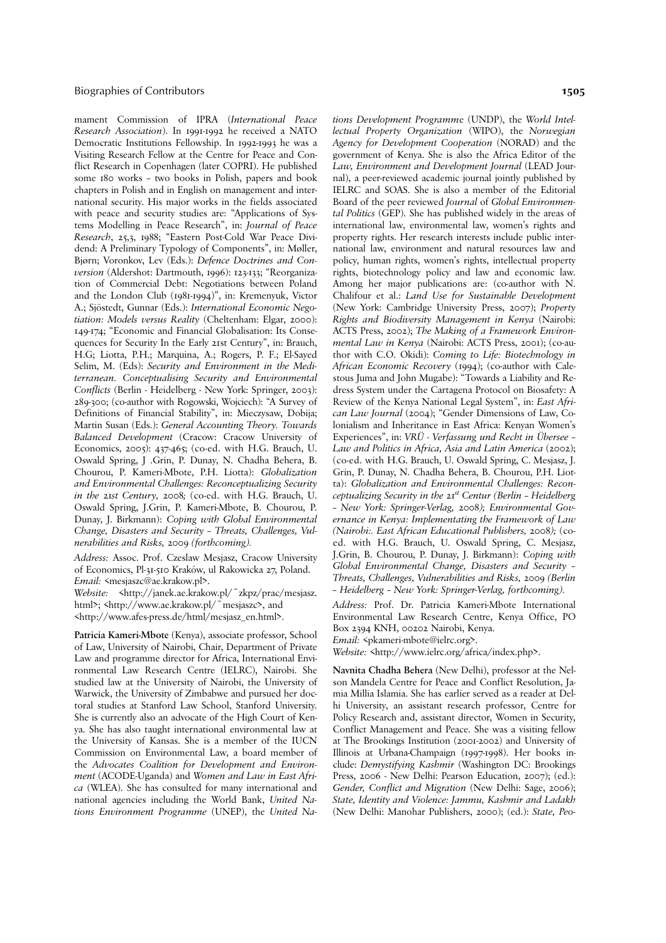mament Commission of IPRA (*International Peace Research Association*). In 1991-1992 he received a NATO Democratic Institutions Fellowship. In 1992-1993 he was a Visiting Research Fellow at the Centre for Peace and Conflict Research in Copenhagen (later COPRI). He published some 180 works – two books in Polish, papers and book chapters in Polish and in English on management and international security. His major works in the fields associated with peace and security studies are: "Applications of Systems Modelling in Peace Research", in: *Journal of Peace Research*, 25,3, 1988; "Eastern Post-Cold War Peace Dividend: A Preliminary Typology of Components", in: Møller, Bjørn; Voronkov, Lev (Eds.): *Defence Doctrines and Conversion* (Aldershot: Dartmouth, 1996): 123-133; "Reorganization of Commercial Debt: Negotiations between Poland and the London Club (1981-1994)", in: Kremenyuk, Victor A.; Sjöstedt, Gunnar (Eds.): *International Economic Negotiation: Models versus Reality* (Cheltenham: Elgar, 2000): 149-174; "Economic and Financial Globalisation: Its Consequences for Security In the Early 21st Century", in: Brauch, H.G; Liotta, P.H.; Marquina, A.; Rogers, P. F.; El-Sayed Selim, M. (Eds): *Security and Environment in the Mediterranean. Conceptualising Security and Environmental Conflicts* (Berlin - Heidelberg - New York: Springer, 2003): 289-300; (co-author with Rogowski, Wojciech): "A Survey of Definitions of Financial Stability", in: Mieczysaw, Dobija; Martin Susan (Eds.): *General Accounting Theory. Towards Balanced Development* (Cracow: Cracow University of Economics, 2005): 437-465; (co-ed. with H.G. Brauch, U. Oswald Spring, J .Grin, P. Dunay, N. Chadha Behera, B. Chourou, P. Kameri-Mbote, P.H. Liotta): *Globalization and Environmental Challenges: Reconceptualizing Security in the* 21*st Century,* 2008*;* (co-ed. with H.G. Brauch, U. Oswald Spring, J.Grin, P. Kameri-Mbote, B. Chourou, P. Dunay, J. Birkmann): *Coping with Global Environmental Change, Disasters and Security – Threats, Challenges, Vulnerabilities and Risks,* 2009 *(forthcoming).*

*Address:* Assoc. Prof. Czeslaw Mesjasz, Cracow University of Economics, Pl-31-510 Kraków, ul Rakowicka 27, Poland. *Email:* <mesjaszc@ae.krakow.pl>.

*Website:* <http://janek.ae.krakow.pl/~zkpz/prac/mesjasz. html>; <http://www.ae.krakow.pl/~mesjaszc>, and <http://www.afes-press.de/html/mesjasz\_en.html>.

**Patricia Kameri-Mbote** (Kenya), associate professor, School of Law, University of Nairobi, Chair, Department of Private Law and programme director for Africa, International Environmental Law Research Centre (IELRC), Nairobi. She studied law at the University of Nairobi, the University of Warwick, the University of Zimbabwe and pursued her doctoral studies at Stanford Law School, Stanford University. She is currently also an advocate of the High Court of Kenya. She has also taught international environmental law at the University of Kansas. She is a member of the IUCN Commission on Environmental Law, a board member of the *Advocates Coalition for Development and Environment* (ACODE-Uganda) and *Women and Law in East Africa* (WLEA). She has consulted for many international and national agencies including the World Bank, *United Nations Environment Programme* (UNEP), the *United Na-*

*tions Development Programm*e (UNDP), the *World Intellectual Property Organization* (WIPO), the *Norwegian Agency for Development Cooperation* (NORAD) and the government of Kenya. She is also the Africa Editor of the *Law, Environment and Development Journal* (LEAD Journal), a peer-reviewed academic journal jointly published by IELRC and SOAS. She is also a member of the Editorial Board of the peer reviewed *Journal* of *Global Environmental Politics* (GEP). She has published widely in the areas of international law, environmental law, women's rights and property rights. Her research interests include public international law, environment and natural resources law and policy, human rights, women's rights, intellectual property rights, biotechnology policy and law and economic law. Among her major publications are: (co-author with N. Chalifour et al.: *Land Use for Sustainable Development* (New York: Cambridge University Press, 2007); *Property Rights and Biodiversity Management in Kenya* (Nairobi: ACTS Press, 2002); *The Making of a Framework Environmental Law in Kenya* (Nairobi: ACTS Press, 2001); (co-author with C.O. Okidi): *Coming to Life: Biotechnology in African Economic Recovery* (1994); (co-author with Calestous Juma and John Mugabe): "Towards a Liability and Redress System under the Cartagena Protocol on Biosafety: A Review of the Kenya National Legal System", in: *East African Law Journal* (2004); "Gender Dimensions of Law, Colonialism and Inheritance in East Africa: Kenyan Women's Experiences", in: *VRÜ - Verfassung und Recht in Übersee – Law and Politics in Africa, Asia and Latin America* (2002); (co-ed. with H.G. Brauch, U. Oswald Spring, C. Mesjasz, J. Grin, P. Dunay, N. Chadha Behera, B. Chourou, P.H. Liotta): *Globalization and Environmental Challenges: Reconceptualizing Security in the* 21*st Centur (Berlin – Heidelberg – New York: Springer-Verlag,* 2008*); Environmental Governance in Kenya: Implementating the Framework of Law (Nairobi:. East African Educational Publishers,* 2008*);* (coed. with H.G. Brauch, U. Oswald Spring, C. Mesjasz, J.Grin, B. Chourou, P. Dunay, J. Birkmann): *Coping with Global Environmental Change, Disasters and Security – Threats, Challenges, Vulnerabilities and Risks,* 2009 *(Berlin – Heidelberg – New York: Springer-Verlag, forthcoming).* 

*Address:* Prof. Dr. Patricia Kameri-Mbote International Environmental Law Research Centre, Kenya Office, PO Box 2394 KNH, 00202 Nairobi, Kenya.

*Email:* <pkameri-mbote@ielrc.org>.

*Website:* <http://www.ielrc.org/africa/index.php>.

**Navnita Chadha Behera** (New Delhi), professor at the Nelson Mandela Centre for Peace and Conflict Resolution, Jamia Millia Islamia. She has earlier served as a reader at Delhi University, an assistant research professor, Centre for Policy Research and, assistant director, Women in Security, Conflict Management and Peace. She was a visiting fellow at The Brookings Institution (2001-2002) and University of Illinois at Urbana-Champaign (1997-1998). Her books include: *Demystifying Kashmir* (Washington DC: Brookings Press, 2006 - New Delhi: Pearson Education, 2007); (ed.): *Gender, Conflict and Migration* (New Delhi: Sage, 2006); *State, Identity and Violence: Jammu, Kashmir and Ladakh* (New Delhi: Manohar Publishers, 2000); (ed.): *State, Peo-*